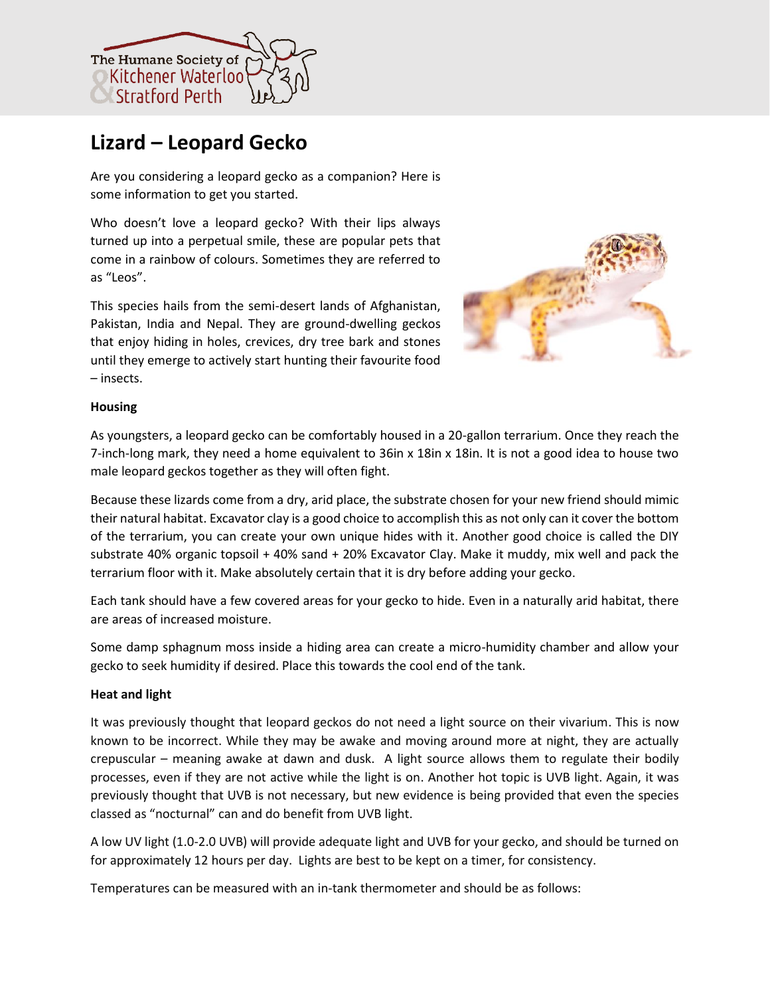

# **Lizard – Leopard Gecko**

Are you considering a leopard gecko as a companion? Here is some information to get you started.

Who doesn't love a leopard gecko? With their lips always turned up into a perpetual smile, these are popular pets that come in a rainbow of colours. Sometimes they are referred to as "Leos".

This species hails from the semi-desert lands of Afghanistan, Pakistan, India and Nepal. They are ground-dwelling geckos that enjoy hiding in holes, crevices, dry tree bark and stones until they emerge to actively start hunting their favourite food – insects.



# **Housing**

As youngsters, a leopard gecko can be comfortably housed in a 20-gallon terrarium. Once they reach the 7-inch-long mark, they need a home equivalent to 36in x 18in x 18in. It is not a good idea to house two male leopard geckos together as they will often fight.

Because these lizards come from a dry, arid place, the substrate chosen for your new friend should mimic their natural habitat. Excavator clay is a good choice to accomplish this as not only can it cover the bottom of the terrarium, you can create your own unique hides with it. Another good choice is called the DIY substrate 40% organic topsoil + 40% sand + 20% Excavator Clay. Make it muddy, mix well and pack the terrarium floor with it. Make absolutely certain that it is dry before adding your gecko.

Each tank should have a few covered areas for your gecko to hide. Even in a naturally arid habitat, there are areas of increased moisture.

Some damp sphagnum moss inside a hiding area can create a micro-humidity chamber and allow your gecko to seek humidity if desired. Place this towards the cool end of the tank.

# **Heat and light**

It was previously thought that leopard geckos do not need a light source on their vivarium. This is now known to be incorrect. While they may be awake and moving around more at night, they are actually crepuscular – meaning awake at dawn and dusk. A light source allows them to regulate their bodily processes, even if they are not active while the light is on. Another hot topic is UVB light. Again, it was previously thought that UVB is not necessary, but new evidence is being provided that even the species classed as "nocturnal" can and do benefit from UVB light.

A low UV light (1.0-2.0 UVB) will provide adequate light and UVB for your gecko, and should be turned on for approximately 12 hours per day. Lights are best to be kept on a timer, for consistency.

Temperatures can be measured with an in-tank thermometer and should be as follows: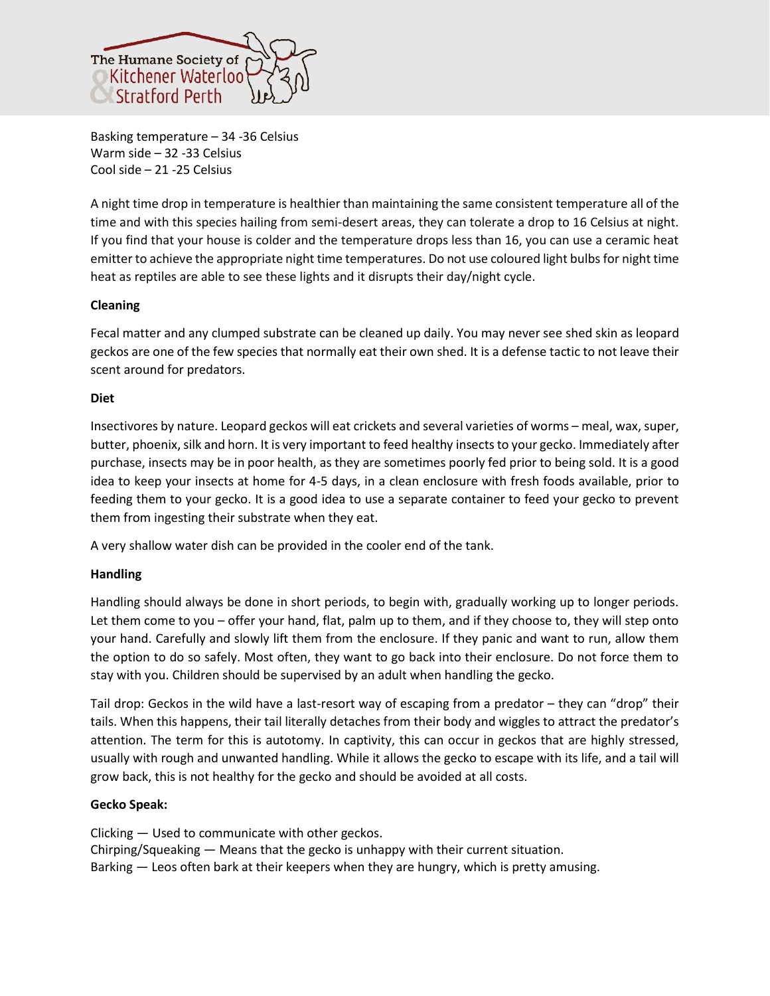

Basking temperature – 34 -36 Celsius Warm side – 32 -33 Celsius Cool side – 21 -25 Celsius

A night time drop in temperature is healthier than maintaining the same consistent temperature all of the time and with this species hailing from semi-desert areas, they can tolerate a drop to 16 Celsius at night. If you find that your house is colder and the temperature drops less than 16, you can use a ceramic heat emitter to achieve the appropriate night time temperatures. Do not use coloured light bulbs for night time heat as reptiles are able to see these lights and it disrupts their day/night cycle.

# **Cleaning**

Fecal matter and any clumped substrate can be cleaned up daily. You may never see shed skin as leopard geckos are one of the few species that normally eat their own shed. It is a defense tactic to not leave their scent around for predators.

# **Diet**

Insectivores by nature. Leopard geckos will eat crickets and several varieties of worms – meal, wax, super, butter, phoenix, silk and horn. It is very important to feed healthy insects to your gecko. Immediately after purchase, insects may be in poor health, as they are sometimes poorly fed prior to being sold. It is a good idea to keep your insects at home for 4-5 days, in a clean enclosure with fresh foods available, prior to feeding them to your gecko. It is a good idea to use a separate container to feed your gecko to prevent them from ingesting their substrate when they eat.

A very shallow water dish can be provided in the cooler end of the tank.

# **Handling**

Handling should always be done in short periods, to begin with, gradually working up to longer periods. Let them come to you – offer your hand, flat, palm up to them, and if they choose to, they will step onto your hand. Carefully and slowly lift them from the enclosure. If they panic and want to run, allow them the option to do so safely. Most often, they want to go back into their enclosure. Do not force them to stay with you. Children should be supervised by an adult when handling the gecko.

Tail drop: Geckos in the wild have a last-resort way of escaping from a predator – they can "drop" their tails. When this happens, their tail literally detaches from their body and wiggles to attract the predator's attention. The term for this is autotomy. In captivity, this can occur in geckos that are highly stressed, usually with rough and unwanted handling. While it allows the gecko to escape with its life, and a tail will grow back, this is not healthy for the gecko and should be avoided at all costs.

# **Gecko Speak:**

Clicking — Used to communicate with other geckos. Chirping/Squeaking — Means that the gecko is unhappy with their current situation. Barking — Leos often bark at their keepers when they are hungry, which is pretty amusing.